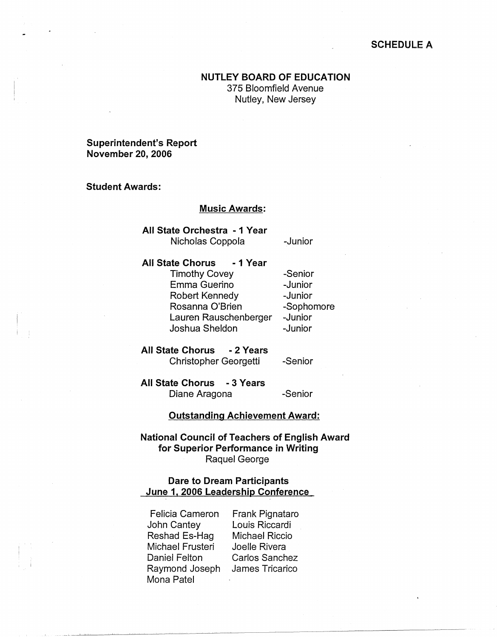## **SCHEDULE A**

# **NUTLEY BOARD OF EDUCATION**

375 Bloomfield Avenue Nutley, New Jersey

## **Superintendent's Report November 20, 2006**

## **Student Awards:**

#### **Music Awards:**

**All State Orchestra** - **1 Year**  Nicholas Coppola -Junior

**All State Chorus** - **1 Year**  Timothy Covey Emma Guerino Robert Kennedy Rosanna O'Brien Lauren Rauschenberger Joshua Sheldon

-Senior -Junior -Junior -Sophomore -Junior -Junior

**All State Chorus** - **2 Years**  Christopher Georgetti

-Senior

**All State Chorus** - **3 Years**  Diane Aragona -Senior

#### **Outstanding Achievement Award:**

**National Council of Teachers of English Award for Superior Performance in Writing**  Raquel George

## **Dare to Dream Participants June 1, 2006 Leadership Conference**

Felicia Cameron John Cantey Reshad Es-Hag Michael Frusteri Daniel Felton Raymond Joseph Mona Patel

Frank Pignataro Louis Riccardi Michael Riccio Joelle Rivera Carlos Sanchez James Tricarico